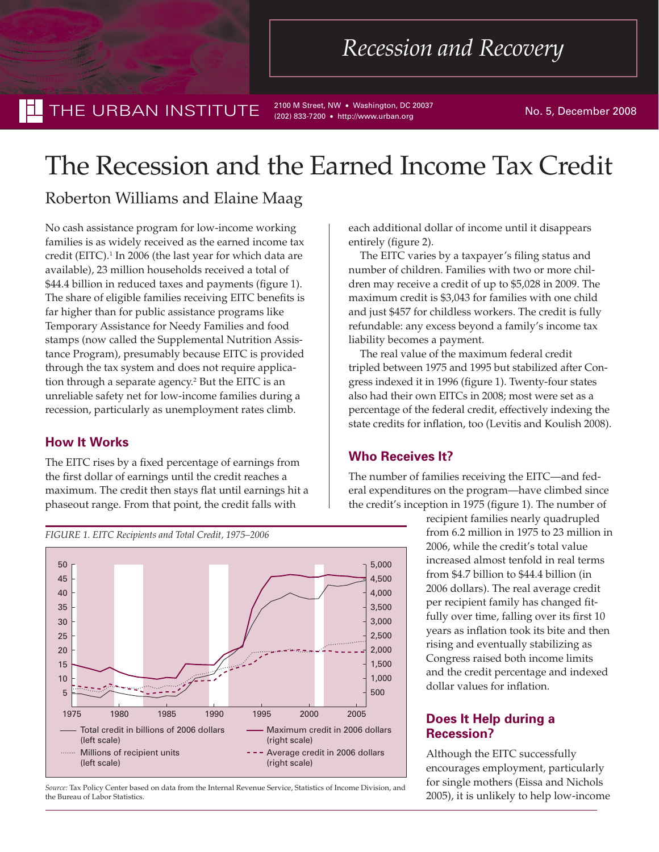THE URBAN INSTITUTE 2100 M Street, NW • Washington, DC 20037 No. 5, December 2008

(202) 833-7200 • http://www.urban.org

# The Recession and the Earned Income Tax Credit

## Roberton Williams and Elaine Maag

No cash assistance program for low-income working families is as widely received as the earned income tax credit (EITC).<sup>1</sup> In 2006 (the last year for which data are available), 23 million households received a total of \$44.4 billion in reduced taxes and payments (figure 1). The share of eligible families receiving EITC benefits is far higher than for public assistance programs like Temporary Assistance for Needy Families and food stamps (now called the Supplemental Nutrition Assistance Program), presumably because EITC is provided through the tax system and does not require application through a separate agency.<sup>2</sup> But the EITC is an unreliable safety net for low-income families during a recession, particularly as unemployment rates climb.

#### **How It Works**

The EITC rises by a fixed percentage of earnings from the first dollar of earnings until the credit reaches a maximum. The credit then stays flat until earnings hit a phaseout range. From that point, the credit falls with



*Source:* Tax Policy Center based on data from the Internal Revenue Service, Statistics of Income Division, and the Bureau of Labor Statistics.

each additional dollar of income until it disappears entirely (figure 2).

The EITC varies by a taxpayer's filing status and number of children. Families with two or more children may receive a credit of up to \$5,028 in 2009. The maximum credit is \$3,043 for families with one child and just \$457 for childless workers. The credit is fully refundable: any excess beyond a family's income tax liability becomes a payment.

The real value of the maximum federal credit tripled between 1975 and 1995 but stabilized after Congress indexed it in 1996 (figure 1). Twenty-four states also had their own EITCs in 2008; most were set as a percentage of the federal credit, effectively indexing the state credits for inflation, too (Levitis and Koulish 2008).

## **Who Receives It?**

The number of families receiving the EITC—and federal expenditures on the program—have climbed since the credit's inception in 1975 (figure 1). The number of

> recipient families nearly quadrupled from 6.2 million in 1975 to 23 million in 2006, while the credit's total value increased almost tenfold in real terms from \$4.7 billion to \$44.4 billion (in 2006 dollars). The real average credit per recipient family has changed fitfully over time, falling over its first 10 years as inflation took its bite and then rising and eventually stabilizing as Congress raised both income limits and the credit percentage and indexed dollar values for inflation.

## **Does It Help during a Recession?**

Although the EITC successfully encourages employment, particularly for single mothers (Eissa and Nichols 2005), it is unlikely to help low-income